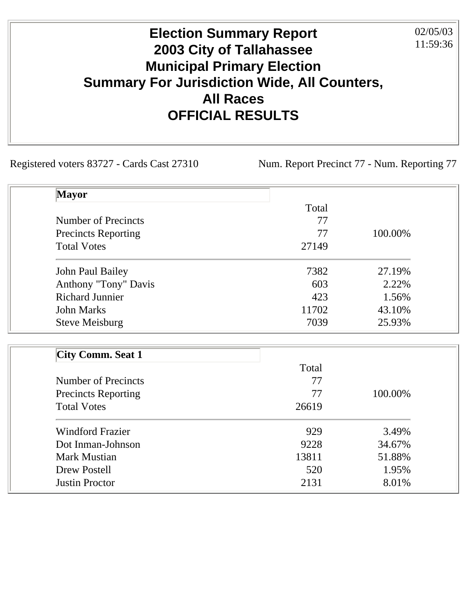## **Election Summary Report 2003 City of Tallahassee Municipal Primary Election Summary For Jurisdiction Wide, All Counters, All Races OFFICIAL RESULTS** 02/05/03 11:59:36

Registered voters 83727 - Cards Cast 27310 Num. Report Precinct 77 - Num. Reporting 77

| <b>Mayor</b>                |       |         |
|-----------------------------|-------|---------|
|                             | Total |         |
| <b>Number of Precincts</b>  | 77    |         |
| <b>Precincts Reporting</b>  | 77    | 100.00% |
| <b>Total Votes</b>          | 27149 |         |
| John Paul Bailey            | 7382  | 27.19%  |
| <b>Anthony "Tony" Davis</b> | 603   | 2.22%   |
| <b>Richard Junnier</b>      | 423   | 1.56%   |
| <b>John Marks</b>           | 11702 | 43.10%  |
| <b>Steve Meisburg</b>       | 7039  | 25.93%  |
|                             |       |         |
| <b>City Comm. Seat 1</b>    |       |         |
|                             | Total |         |
| <b>Number of Precincts</b>  | 77    |         |
| <b>Precincts Reporting</b>  | 77    | 100.00% |
| <b>Total Votes</b>          | 26619 |         |
| <b>Windford Frazier</b>     | 929   | 3.49%   |
| Dot Inman-Johnson           | 9228  | 34.67%  |
|                             |       |         |
| <b>Mark Mustian</b>         | 13811 | 51.88%  |
| Drew Postell                | 520   | 1.95%   |